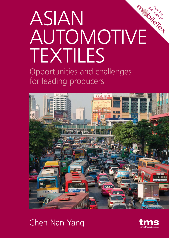## ASIAN AUTOMOTIVE TEXTILES

Opportunities and challenges for leading producers



## Chen Nan Yang



publishers of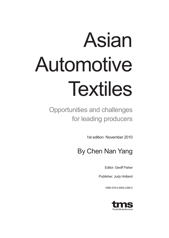# Asian Automotive Textiles

Opportunities and challenges for leading producers

1st edition November 2010

## By Chen Nan Yang

Editor: Geoff Fisher

Publisher: Judy Holland

ISBN 978-0-9565-2386-0

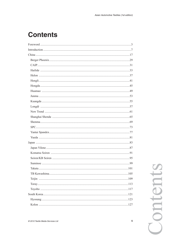## **Contents**

Contents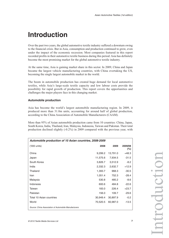## **Introduction**

Over the past two years, the global automotive textile industry suffered a downturn owing to the financial crisis. But in Asia, consumption and production continued to grow, even under the impact of the economic recession. Most companies featured in this report recorded profits in their automotive textile business during this period: Asia has definitely become the most promising market for the global automotive textile industry.

At the same time, Asia is gaining market share in this sector. In 2009, China and Japan became the largest vehicle manufacturing countries, with China overtaking the US, becoming the single largest automobile market in the world.

The boom in automobile production has created huge demand for local automotive textiles, while Asia's large-scale textile capacity and low labour costs provide the possibility for rapid growth of production. This report covers the opportunities and challenges the major players face in this changing market.

### **Automobile production**

Asia has become the world's largest automobile manufacturing region. In 2009, it produced more than 31.0m units, accounting for around half of global production, according to the China Association of Automobile Manufacturers (CAAM).

More than 95% of Asian automobile production came from 10 countries: China, Japan, South Korea, India, Thailand, Iran, Malaysia, Indonesia, Taiwan and Pakistan. Their total production declined slightly (-0.2%) in 2009 compared with the previous year, with

| Automobile production of 10 Asian countries, 2008-2009 |          |          |                    |  |  |
|--------------------------------------------------------|----------|----------|--------------------|--|--|
| ('000 units)                                           | 2008     | 2009     | 2009/08<br>$(\% )$ |  |  |
| China                                                  | 9,299.2  | 13,791.0 | $+48.3$            |  |  |
| Japan                                                  | 11,575.6 | 7,934.5  | $-31.5$            |  |  |
| South Korea                                            | 3,826.7  | 3,512.9  | $-8.2$             |  |  |
| India                                                  | 2,332.3  | 2,632.7  | $+12.9$            |  |  |
| Thailand                                               | 1,393.7  | 968.3    | $-30.5$            |  |  |
| Iran                                                   | 1,051.4  | 752.3    | $-28.4$            |  |  |
| Malaysia                                               | 530.8    | 485.2    | $-8.6$             |  |  |
| Indonesia                                              | 600.6    | 484.8    | $-22.6$            |  |  |
| Taiwan                                                 | 183.0    | 226.4    | $+23.7$            |  |  |
| Pakistan                                               | 156.0    | 109.7    | $-29.6$            |  |  |
| <b>Total 10 Asian countries</b>                        | 30,949.4 | 30,897.9 | $-0.2$             |  |  |
| World                                                  | 70,520.5 | 60,987.0 | $-13.5$            |  |  |
| Source: China Association of Automobile Manufacturers  |          |          |                    |  |  |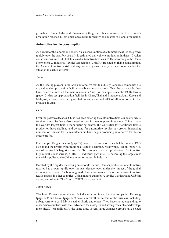growth in China, India and Taiwan offsetting the other countries' decline. China's production reached 13.8m units, accounting for nearly one quarter of global production.

#### **Automotive textile consumption**

As a result of the automobile boom, Asia's consumption of automotive textiles has grown rapidly over the past few years. It is estimated that vehicle production in these 10 Asian countries consumed 740,000 tonnes of automotive textiles in 2009, according to the China Nonwovens & Industrial Textiles Association (CNITA). Boosted by rising consumption, the Asian automotive textile industry has also grown rapidly in these countries, but the situation in each is different.

#### *Japan*

As the leading players in the Asian automotive textile industry, Japanese companies are expanding their production facilities and branches across Asia. Over the past decade, they have entered almost all the main markets in Asia. For example, since the 1990s Takata (page 101) has set up production facilities in China, Thailand, Singapore, South Korea and Malaysia; it now covers a region that consumes around 90% of all automotive textile products in Asia.

#### *China*

Over the past two decades, China has been entering the automotive textile industry, while foreign companies have also started to look for new opportunities there. China is now the world's largest textile manufacturing centre. But as profits for traditional textile production have declined and demand for automotive textiles has grown, increasing numbers of Chinese textile manufacturers have begun producing automotive textiles to secure profits.

For example, Berger Phoenix (page 29) turned to the automotive seatbelt business in 1993 as it found the profits from traditional textiles declining. Meanwhile, Hengli (page 41), one of the world's largest man-made fibre producers, started production of automotive high modulus low shrinkage (HMLS) industrial yarn in 2010, becoming the largest raw material supplier to the Chinese automotive textile industry.

Boosted by the rapidly increasing automobile market, China's production of automotive textiles has grown rapidly over the past decade, even under the impact of the global economic recession. The booming market has also provided opportunities to automotive textile makers in other countries: China imports automotive textiles worth around US\$4bn a year, according to Zhu Minru, CNITA vice president

## *South Korea*

The South Korean automotive textile industry is dominated by large companies: Hyosung (page 123) and Kolon (page 127) cover almost all the sectors of the business, including airbag yarn, tyre cord fabric, seatbelt fabric and others. They have started expanding to other Asian countries with their advanced technologies and strong research and develop ment (R&D) capabilities. At the same time, several large Japanese groups have seized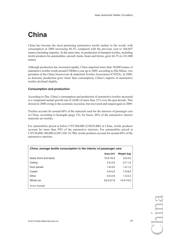## **China**

China has become the most promising automotive textile market in the world, with consumption in 2009 increasing 48.3% compared with the previous year to 368,607 tonnes (including imports). At the same time, its production of transport textiles, including textile products for automobiles, aircraft, trains, boats and ferries, grew 66.3% to 341,000 tonnes.

Although production has increased rapidly, China imported more than 50,000 tonnes of automotive textiles worth around US\$4bn a year up to 2009, according to Zhu Minru, vice president of the China Nonwovens & Industrial Textiles Association (CNITA). In 2009, as domestic production grew faster than consumption, China's imports of automotive textiles declined slightly.

## **Consumption and production**

According to Zhu, China's consumption and production of automotive textiles increased at a compound annual growth rate (CAGR) of more than 15% over the past decade. This slowed in 2008 owing to the economic recession, but recovered and surged again in 2009.

Textiles account for around 60% of the materials used for the interiors of passenger cars in China, according to Kuangda (page 55); for buses, 80% of the automotive interior materials are textiles.

For automobiles priced at below CNY200,000 (US\$29,400) in China, textile products account for more than 50% of the automotive interiors. For automobiles priced at CNY50,000-100,000 (US\$7,360-14,700), textile products account for around 80% of the automotive interiors.

| China: average textile consumption in the interior of passenger cars |             |             |  |
|----------------------------------------------------------------------|-------------|-------------|--|
|                                                                      | Area $(m2)$ | Weight (kg) |  |
| Seats (front and back)                                               | 12.0-16.0   | $3.0 - 4.5$ |  |
| Ceiling                                                              | $2.5 - 3.0$ | $0.7 - 1.0$ |  |
| Door panels                                                          | $1.6 - 3.0$ | $1.0 - 1.2$ |  |
| Carpet                                                               | $4.0 - 5.0$ | $7.0 - 8.0$ |  |
| Other                                                                | $0.5 - 2.9$ | $1.3 - 2.3$ |  |
| Whole car                                                            | 23.0-27.9   | 14.0-15.0   |  |
| Source: Kuangda                                                      |             |             |  |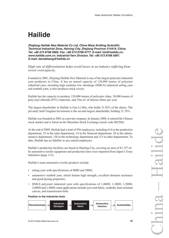## **Hailide**

**Zhejiang Hailide New Material Co Ltd, China Warp Knitting Scientific Technical Industrial Zone, Haining City, Zhejiang Province 314419, China. Tel: +86 573 8798 9969. Fax: +86 573 8798 9777. E-mail: hld@hailide.cn; www.hailide.com.cn. Industrial Yarn Division. Tel: +86 573 8798 5997. E-mail: davidzhang@hailide.cn**

*High rate of differentiation helps avoid losses in an industry suffering from severe overcapacity.*

Founded in 2001, Zhejiang Hailide New Material is one of the largest polyester industrial yarn producers in China. It has an annual capacity of 120,000 tonnes of polyester industrial yarn, including high modulus low shrinkage (HMLS) industrial airbag yarn and seatbelt yarn; it also produces truck covers.

Hailide has the capacity to produce 120,000 tonnes of polyester chips, 38,000 tonnes of polyvinyl chloride (PVC) materials, and 35m m2 of interior fabric per year.

The largest shareholder in Hailide is Gao Li Min, who holds 31.92% of the shares. The privately held Tonglian Investment is the second-largest shareholder, holding 21.76%.

Hailide was founded in 2001 as a private company. In January 2008, it entered the Chinese stock market and is listed on the Shenzhen Stock Exchange (stock code 002206).

At the end of 2009, Hailide had a total of 956 employees, including 614 in the production department, 35 in the sales department, 14 in the financial department, 28 in the administrative department, 150 in the technology department and 115 in other departments. To date, Hailide has no liability to any retired employees.

Hailide's production facilities are based in Haining City, covering an area of 81,727 m<sup>2</sup>. Its automotive textile equipment and production lines were imported from Japan's Toray Industries (page 113).

Hailide's main automotive textile products include:

- airbag yarn with specifications of 400D and 500D;
- automotive seatbelt yarn, which feature high strength, excellent abrasion resistance and good dyeing properties;
- HMLS polyester industrial yarn with specifications of 1,000D, 1,300D, 1,500D, 2,000D and 2,500D; main applications include tyre cord fabric, seatbelts, heat-resistant canvas, and transmission belts.

#### **Position in the industrial chain**

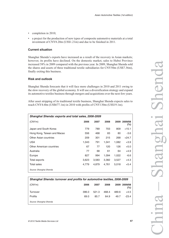- completion in 2010;
- a project for the production of new types of composite automotive materials at a total investment of CNY8.20m (US\$1.21m) and due to be finished in 2011.

#### **Current situation**

Shanghai Shenda's exports have increased as a result of the recovery in Asian markets; however, its profits have declined. On the domestic market, sales to Hubei Province increased 58% in 2009 compared with the previous year. In 2009, Shanghai Shenda sold the shares and assets of three traditional textile subsidiaries for CNY50m (US\$7.36m), finally exiting this business.

## **Risk and outlook**

Shanghai Shenda forecasts that it will face more challenges in 2010 and 2011 owing to the slow recovery of the global economy. It will use a diversification strategy and expand its automotive textiles business through mergers and acquisitions over the next few years.

After asset stripping of its traditional textile business, Shanghai Shenda expects sales to reach CNY4.6bn (US\$677.1m) in 2010 with profits of CNY130m (US\$19.1m).

| Shanghai Shenda: exports and total sales, 2006-2009 |       |       |       |       |                   |
|-----------------------------------------------------|-------|-------|-------|-------|-------------------|
| (CNYm)                                              | 2006  | 2007  | 2008  | 2009  | 2009/08<br>$(\%)$ |
| Japan and South Korea                               | 779   | 789   | 703   | 809   | $+15.1$           |
| Hong Kong, Taiwan and Macao                         | 556   | 468   | 83    | 80    | $-3.6$            |
| Other Asian countries                               | 209   | 301   | 215   | 268   | $+24.7$           |
| <b>USA</b>                                          | 1,043 | 791   | 1,041 | 1,082 | $+3.9$            |
| Other American countries                            | 67    | 77    | 120   | 126   | $+5.0$            |
| Australia                                           | 77    | 68    | 61    | 64    | $+4.9$            |
| Europe                                              | 827   | 994   | 1,094 | 1,022 | $-6.6$            |
| Total exports                                       | 3,623 | 3,583 | 3,382 | 3,527 | $+4.3$            |
| <b>Total sales</b>                                  | 4.779 | 4.879 | 4,761 | 5,018 | $+5.4$            |
| Source: Shanghai Shenda                             |       |       |       |       |                   |

| Shanghai Shenda: turnover and profits for automotive textiles, 2006-2009 |       |       |       |       |                     |
|--------------------------------------------------------------------------|-------|-------|-------|-------|---------------------|
| (CNYm)                                                                   | 2006  | 2007  | 2008  |       | 2009 2009/08<br>(%) |
| Turnover                                                                 | 396.0 | 521.3 | 468.4 | 489.6 | $+4.5$              |
| <b>Profits</b>                                                           | 69.0  | 85.7  | 64.9  | 49.7  | $-23.4$             |
| Source: Shanghai Shenda                                                  |       |       |       |       |                     |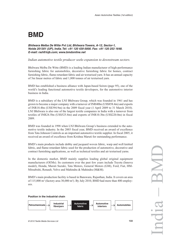## **BMD**

### **Bhilwara Melba De Witte Pvt Ltd, Bhilwara Towers, A-12, Sector-1, Noida 201301 (UP), India. Tel: +91 120 439 0000. Fax: +91 120 253 1648. E-mail: rsd@lnjb.com; www.bmdonline.net**

#### *Indian automotive textile producer seeks expansion to downstream sectors.*

Bhilwara Melba De Witte (BMD) is a leading Indian manufacturer of high-performance furnishing fabric for automobiles, decorative furnishing fabric for homes, contract furnishing fabric, flame-retardant fabric and air texturised yarn. It has an annual capacity of 5m linear metres of fabric and 1,800 tonnes of air texturised yarn.

BMD has established a business alliance with Japan-based Seiren (page 95), one of the world's leading functional automotive textile developers, for the automotive interior business in India.

BMD is a subsidiary of the LNJ Bhilwara Group, which was founded in 1961 and has grown to become a major company with a turnover of INR40bn (US\$858.4m) and exports of INR18.4bn (US\$394.9m) in the 2009 fiscal year (1 April 2009 to 31 March 2010). LNJ Bhilwara is also one of the largest textile companies in India with a turnover from textiles of INR24.5bn (US\$525.8m) and exports of INR10.3bn (US\$220.0m) in fiscal 2009.

BMD was founded in 1998 when LNJ Bhilwara Group's business extended to the automotive textile industry. In the 2003 fiscal year, BMD received an award of excellence from Tata Johnson Controls as an important automotive textile supplier. In fiscal 2005, it received an award of excellence from Krishna Maruti for outstanding performance.

BMD's main products include dobby and jacquard woven fabric, warp and weft knitted fabric, and flame-retardant fabric used for the production of automotive, decorative and contract furnishing applications, as well as technical textiles and air texturised yarns.

In the domestic market, BMD mainly supplies leading global original equipment manufacturers (OEMs). Its customers over the past few years include Toyota (Innova model), Honda, Maruti Suzuki, Tata Motors, General Motors (GM), Ford, Fiat, HM-Mitsubishi, Renault, Volvo and Mahindra & Mahindra (M&M).

BMD's main production facility is based in Banswara, Rajasthan, India. It covers an area of  $115,000$  m<sup>2</sup> (factory area 30,000 m<sup>2</sup>). By July 2010, BMD had more than 400 employees.

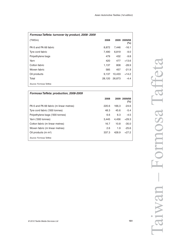| Formosa Taffeta: turnover by product, 2008-2009 |        |        |                         |
|-------------------------------------------------|--------|--------|-------------------------|
| (TWDm)                                          | 2008   |        | 2009 2009/08<br>$(\% )$ |
| PA 6 and PA 66 fabric                           | 8,872  | 7,446  | $-16.1$                 |
| Tyre cord fabric                                | 7,490  | 6,819  | $-9.0$                  |
| Polyethylene bags                               | 479    | 432    | $-9.8$                  |
| Yarn                                            | 420    | 477    | $+13.6$                 |
| Cotton fabric                                   | 1,137  | 808    | $-28.9$                 |
| Woven fabric                                    | 585    | 457    | $-21.9$                 |
| Oil products                                    | 9,137  | 10,433 | $+14.2$                 |
| Total                                           | 28,120 | 26,873 | $-4.4$                  |
| Source: Formosa Taffeta                         |        |        |                         |

| Formosa Taffeta: production, 2008-2009  |       |       |                         |
|-----------------------------------------|-------|-------|-------------------------|
|                                         | 2008  |       | 2009 2009/08<br>$(\% )$ |
| PA 6 and PA 66 fabric (m linear metres) | 220.6 | 166.3 | $-24.6$                 |
| Tyre cord fabric ('000 tonnes)          | 48.3  | 45.6  | $-5.4$                  |
| Polyethylene bags ('000 tonnes)         | 6.6   | 6.3   | $-4.5$                  |
| Yarn ('000 tonnes)                      | 3.445 | 4.456 | $+29.3$                 |
| Cotton fabric (m linear metres)         | 16.7  | 10.8  | $-35.0$                 |
| Woven fabric (m linear metres)          | 2.6   | 1.9   | $-25.6$                 |
| Oil products $(m m3)$                   | 337.3 | 428.9 | $+27.2$                 |
| Source: Formosa Taffeta                 |       |       |                         |

Taiwan – Formosa Taffeta Formosa Taffet: Taiwan-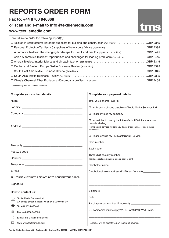## **REPORTS ORDER FORM**

## **Fax to: +44 8700 940868**

## **or scan and e-mail to info@textilemedia.com**

## **www.textilemedia.com**

| I would like to order the following report(s):                                                         |
|--------------------------------------------------------------------------------------------------------|
| □ Textiles in Architecture: Materials suppliers for building and construction (1st edition) GBP £345   |
| □ Personal Protection Textiles: 40 suppliers of heavy duty fabrics (1st edition) GBP £395              |
| □ Automotive Textiles: The changing landscape for Tier 1 and Tier 2 suppliers (2nd edition) GBP £445   |
| □ Asian Automotive Textiles: Opportunities and challenges for leading producers (1st edition) GBP £445 |
|                                                                                                        |
|                                                                                                        |
|                                                                                                        |
|                                                                                                        |
|                                                                                                        |
|                                                                                                        |

\* published by International Media Group

| Complete your contact details:                                                 | Complete your payment details:                                                                                                                                                  |
|--------------------------------------------------------------------------------|---------------------------------------------------------------------------------------------------------------------------------------------------------------------------------|
|                                                                                | Total value of order GBP £                                                                                                                                                      |
|                                                                                | □ I will send a cheque payable to Textile Media Services Ltd                                                                                                                    |
|                                                                                | □ Please invoice my company                                                                                                                                                     |
|                                                                                | □ I would like to pay by bank transfer in US dollars, euros or<br>pounds sterling<br>(Textile Media Services will send you details of our bank accounts in these<br>currencies) |
|                                                                                | $\Box$ Please charge my $\Box$ MasterCard $\Box$ Visa                                                                                                                           |
|                                                                                |                                                                                                                                                                                 |
|                                                                                |                                                                                                                                                                                 |
|                                                                                | (last three digits on signature strip on back of card)                                                                                                                          |
|                                                                                |                                                                                                                                                                                 |
|                                                                                | Cardholder/invoice address (if different from left) _____________                                                                                                               |
| ALL FORMS MUST HAVE A SIGNATURE TO CONFIRM YOUR ORDER                          |                                                                                                                                                                                 |
|                                                                                |                                                                                                                                                                                 |
| How to contact us:                                                             |                                                                                                                                                                                 |
| <b>Textile Media Services Ltd</b><br>$\equiv$                                  |                                                                                                                                                                                 |
| 2A Bridge Street, Silsden, Keighley BD20 9NB, UK<br>Æ,<br>Tel: +44 1535 656489 |                                                                                                                                                                                 |
| 閶                                                                              | EU companies must supply VAT/BTW/MOMS/IVA/FPA no.                                                                                                                               |
| Fax: +44 8700 940868                                                           |                                                                                                                                                                                 |
| √∱<br>E-mail: info@textilemedia.com                                            |                                                                                                                                                                                 |
| 鳳<br>Web: www.textilemedia.com                                                 | Report(s) will be dispatched on receipt of payment                                                                                                                              |